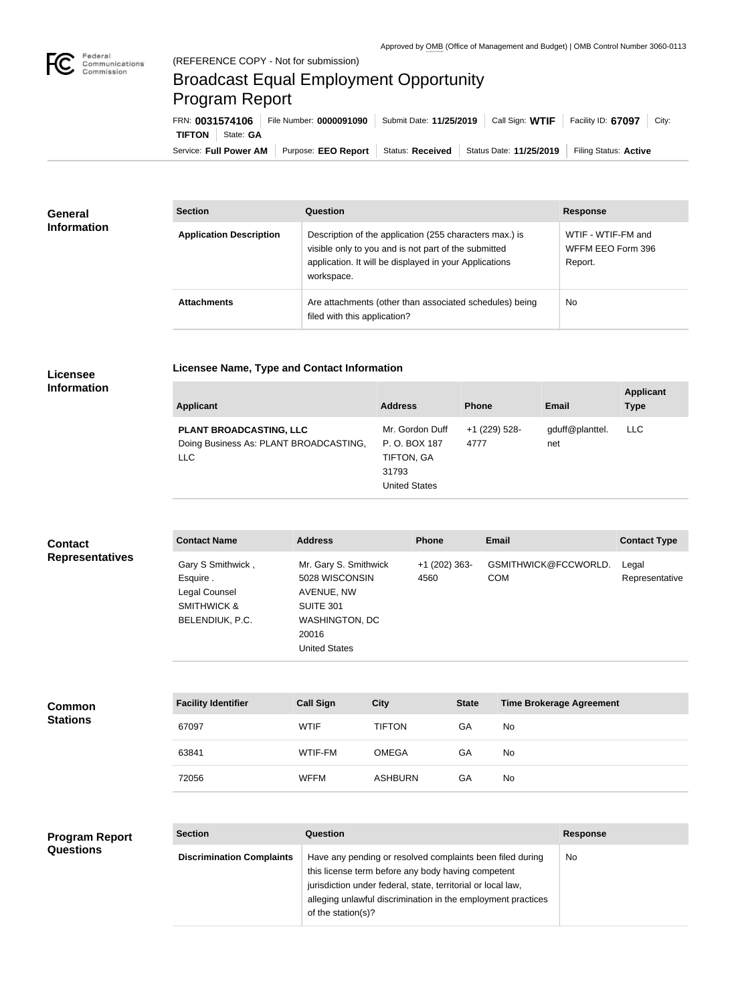

## Broadcast Equal Employment Opportunity Program Report

**Licensee Name, Type and Contact Information**

Service: Full Power AM | Purpose: EEO Report | Status: Received | Status Date: 11/25/2019 | Filing Status: Active **TIFTON** State: GA FRN: **0031574106** File Number: **0000091090** Submit Date: **11/25/2019** Call Sign: **WTIF** Facility ID: **67097** City:

| <b>General</b><br><b>Information</b> | <b>Section</b>                 | <b>Question</b>                                                                                                                                                                         | <b>Response</b>                                    |
|--------------------------------------|--------------------------------|-----------------------------------------------------------------------------------------------------------------------------------------------------------------------------------------|----------------------------------------------------|
|                                      | <b>Application Description</b> | Description of the application (255 characters max.) is<br>visible only to you and is not part of the submitted<br>application. It will be displayed in your Applications<br>workspace. | WTIF - WTIF-FM and<br>WFFM EEO Form 396<br>Report. |
|                                      | <b>Attachments</b>             | Are attachments (other than associated schedules) being<br>filed with this application?                                                                                                 | <b>No</b>                                          |

## **Licensee Information**

| <b>Applicant</b>                                                         | <b>Address</b>                                                                  | <b>Phone</b>          | <b>Email</b>           | <b>Applicant</b><br><b>Type</b> |
|--------------------------------------------------------------------------|---------------------------------------------------------------------------------|-----------------------|------------------------|---------------------------------|
| PLANT BROADCASTING, LLC<br>Doing Business As: PLANT BROADCASTING,<br>LLC | Mr. Gordon Duff<br>P. O. BOX 187<br>TIFTON, GA<br>31793<br><b>United States</b> | +1 (229) 528-<br>4777 | gduff@planttel.<br>net | LLC.                            |

| <b>Contact</b>         | <b>Contact Name</b>                                                              | <b>Address</b>                                                                                                 | <b>Phone</b>            | Email                              | <b>Contact Type</b>     |
|------------------------|----------------------------------------------------------------------------------|----------------------------------------------------------------------------------------------------------------|-------------------------|------------------------------------|-------------------------|
| <b>Representatives</b> | Gary S Smithwick,<br>Esquire.<br>Legal Counsel<br>SMITHWICK &<br>BELENDIUK, P.C. | Mr. Gary S. Smithwick<br>5028 WISCONSIN<br>AVENUE, NW<br>SUITE 301<br>WASHINGTON, DC<br>20016<br>United States | $+1$ (202) 363-<br>4560 | GSMITHWICK@FCCWORLD.<br><b>COM</b> | Legal<br>Representative |

| <b>Common</b><br><b>Stations</b> | <b>Facility Identifier</b> | <b>Call Sign</b> | <b>City</b>    | <b>State</b> | Time Brokerage Agreement |
|----------------------------------|----------------------------|------------------|----------------|--------------|--------------------------|
|                                  | 67097                      | <b>WTIF</b>      | <b>TIFTON</b>  | GA           | <b>No</b>                |
|                                  | 63841                      | WTIF-FM          | <b>OMEGA</b>   | GA           | <b>No</b>                |
|                                  | 72056                      | <b>WFFM</b>      | <b>ASHBURN</b> | GA           | <b>No</b>                |

## **Program Report Questions**

| <b>Section</b>                   | Question                                                                                                                                                                                                                                                              | <b>Response</b> |
|----------------------------------|-----------------------------------------------------------------------------------------------------------------------------------------------------------------------------------------------------------------------------------------------------------------------|-----------------|
| <b>Discrimination Complaints</b> | Have any pending or resolved complaints been filed during<br>this license term before any body having competent<br>jurisdiction under federal, state, territorial or local law,<br>alleging unlawful discrimination in the employment practices<br>of the station(s)? | No              |